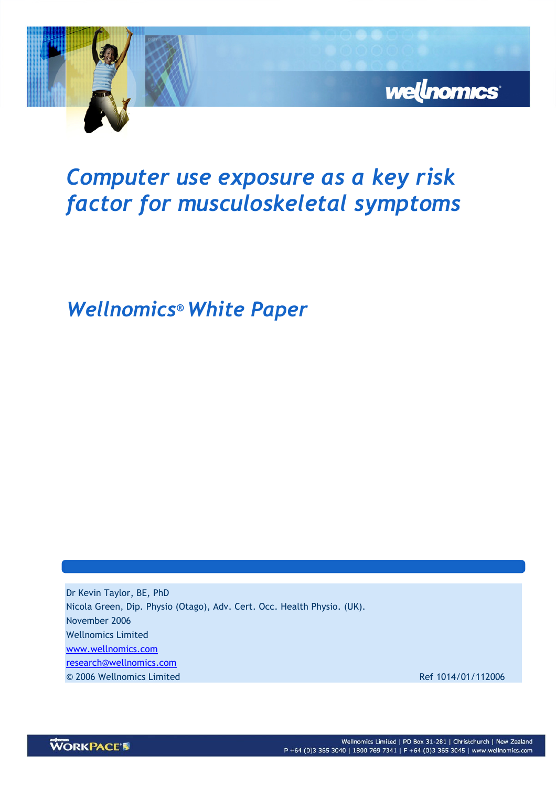

## Computer use exposure as a key risk factor for musculoskeletal symptoms

Wellnomics® White Paper

Dr Kevin Taylor, BE, PhD Nicola Green, Dip. Physio (Otago), Adv. Cert. Occ. Health Physio. (UK). November 2006 Wellnomics Limited www.wellnomics.com research@wellnomics.com © 2006 Wellnomics Limited Ref 1014/01/112006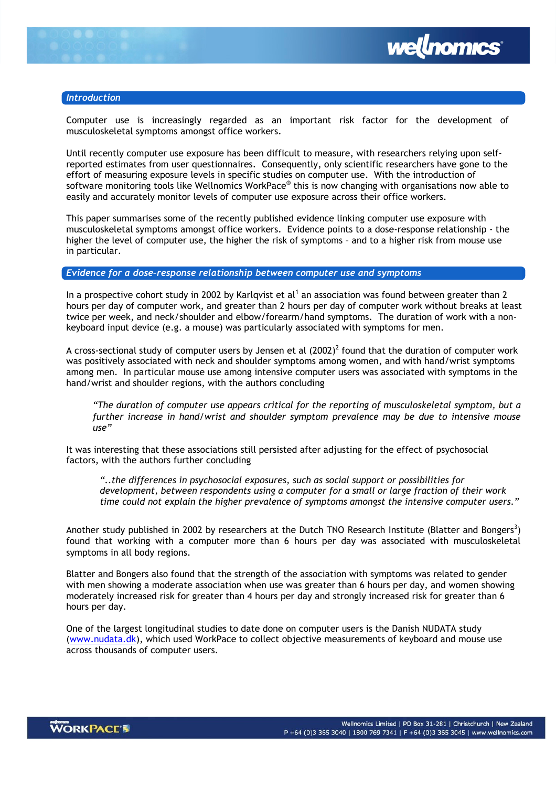

## Introduction

Computer use is increasingly regarded as an important risk factor for the development of musculoskeletal symptoms amongst office workers.

Until recently computer use exposure has been difficult to measure, with researchers relying upon selfreported estimates from user questionnaires. Consequently, only scientific researchers have gone to the effort of measuring exposure levels in specific studies on computer use. With the introduction of software monitoring tools like Wellnomics WorkPace® this is now changing with organisations now able to easily and accurately monitor levels of computer use exposure across their office workers.

This paper summarises some of the recently published evidence linking computer use exposure with musculoskeletal symptoms amongst office workers. Evidence points to a dose-response relationship - the higher the level of computer use, the higher the risk of symptoms – and to a higher risk from mouse use in particular.

## Evidence for a dose–response relationship between computer use and symptoms

In a prospective cohort study in 2002 by Karlqvist et al<sup>1</sup> an association was found between greater than 2 hours per day of computer work, and greater than 2 hours per day of computer work without breaks at least twice per week, and neck/shoulder and elbow/forearm/hand symptoms. The duration of work with a nonkeyboard input device (e.g. a mouse) was particularly associated with symptoms for men.

A cross-sectional study of computer users by Jensen et al  $(2002)^2$  found that the duration of computer work was positively associated with neck and shoulder symptoms among women, and with hand/wrist symptoms among men. In particular mouse use among intensive computer users was associated with symptoms in the hand/wrist and shoulder regions, with the authors concluding

"The duration of computer use appears critical for the reporting of musculoskeletal symptom, but a further increase in hand/wrist and shoulder symptom prevalence may be due to intensive mouse  $\overline{u}$ 

It was interesting that these associations still persisted after adjusting for the effect of psychosocial factors, with the authors further concluding

"..the differences in psychosocial exposures, such as social support or possibilities for development, between respondents using a computer for a small or large fraction of their work time could not explain the higher prevalence of symptoms amongst the intensive computer users."

Another study published in 2002 by researchers at the Dutch TNO Research Institute (Blatter and Bongers<sup>3</sup>) found that working with a computer more than 6 hours per day was associated with musculoskeletal symptoms in all body regions.

Blatter and Bongers also found that the strength of the association with symptoms was related to gender with men showing a moderate association when use was greater than 6 hours per day, and women showing moderately increased risk for greater than 4 hours per day and strongly increased risk for greater than 6 hours per day.

One of the largest longitudinal studies to date done on computer users is the Danish NUDATA study (www.nudata.dk), which used WorkPace to collect objective measurements of keyboard and mouse use across thousands of computer users.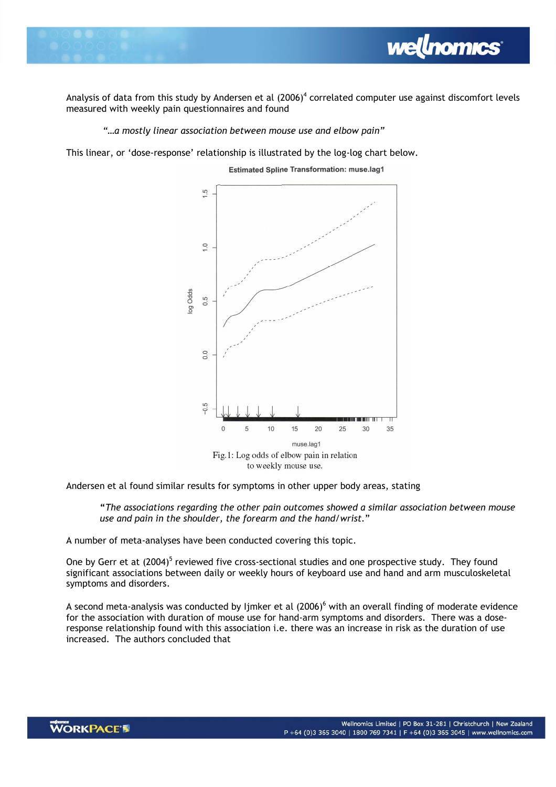

Analysis of data from this study by Andersen et al  $(2006)^4$  correlated computer use against discomfort levels measured with weekly pain questionnaires and found

**wellnomics** 

"…a mostly linear association between mouse use and elbow pain"

This linear, or 'dose-response' relationship is illustrated by the log-log chart below.



**Estimated Spline Transformation: muse.lag1** 

Andersen et al found similar results for symptoms in other upper body areas, stating

"The associations regarding the other pain outcomes showed a similar association between mouse use and pain in the shoulder, the forearm and the hand/wrist."

A number of meta-analyses have been conducted covering this topic.

One by Gerr et at (2004)<sup>5</sup> reviewed five cross-sectional studies and one prospective study. They found significant associations between daily or weekly hours of keyboard use and hand and arm musculoskeletal symptoms and disorders.

A second meta-analysis was conducted by Ijmker et al (2006)<sup>6</sup> with an overall finding of moderate evidence for the association with duration of mouse use for hand-arm symptoms and disorders. There was a doseresponse relationship found with this association i.e. there was an increase in risk as the duration of use increased. The authors concluded that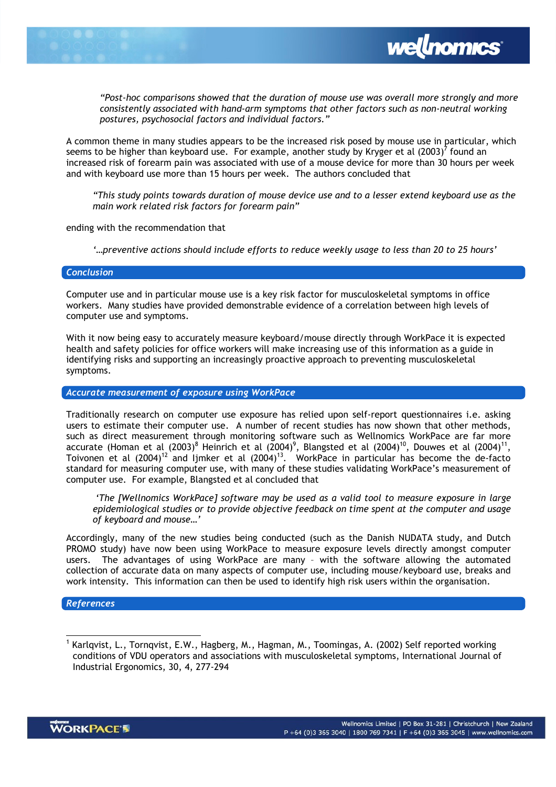



"Post-hoc comparisons showed that the duration of mouse use was overall more strongly and more consistently associated with hand-arm symptoms that other factors such as non-neutral working postures, psychosocial factors and individual factors."

A common theme in many studies appears to be the increased risk posed by mouse use in particular, which seems to be higher than keyboard use. For example, another study by Kryger et al  $(2003)^7$  found an increased risk of forearm pain was associated with use of a mouse device for more than 30 hours per week and with keyboard use more than 15 hours per week. The authors concluded that

"This study points towards duration of mouse device use and to a lesser extend keyboard use as the main work related risk factors for forearm pain"

ending with the recommendation that

'…preventive actions should include efforts to reduce weekly usage to less than 20 to 25 hours'

## **Conclusion**

Computer use and in particular mouse use is a key risk factor for musculoskeletal symptoms in office workers. Many studies have provided demonstrable evidence of a correlation between high levels of computer use and symptoms.

With it now being easy to accurately measure keyboard/mouse directly through WorkPace it is expected health and safety policies for office workers will make increasing use of this information as a guide in identifying risks and supporting an increasingly proactive approach to preventing musculoskeletal symptoms.

Accurate measurement of exposure using WorkPace

Traditionally research on computer use exposure has relied upon self-report questionnaires i.e. asking users to estimate their computer use. A number of recent studies has now shown that other methods, such as direct measurement through monitoring software such as Wellnomics WorkPace are far more accurate (Homan et al (2003) $^8$  Heinrich et al (2004) $^9$ , Blangsted et al (2004) $^{10}$ , Douwes et al (2004) $^{11}$ , Toivonen et al  $(2004)^{12}$  and Ijmker et al  $(2004)^{13}$ . WorkPace in particular has become the de-facto standard for measuring computer use, with many of these studies validating WorkPace's measurement of computer use. For example, Blangsted et al concluded that

 'The [Wellnomics WorkPace] software may be used as a valid tool to measure exposure in large epidemiological studies or to provide objective feedback on time spent at the computer and usage of keyboard and mouse…'

Accordingly, many of the new studies being conducted (such as the Danish NUDATA study, and Dutch PROMO study) have now been using WorkPace to measure exposure levels directly amongst computer users. The advantages of using WorkPace are many – with the software allowing the automated collection of accurate data on many aspects of computer use, including mouse/keyboard use, breaks and work intensity. This information can then be used to identify high risk users within the organisation.

References

 $\overline{a}$ 

<sup>&</sup>lt;sup>1</sup> Karlqvist, L., Tornqvist, E.W., Hagberg, M., Hagman, M., Toomingas, A. (2002) Self reported working conditions of VDU operators and associations with musculoskeletal symptoms, International Journal of Industrial Ergonomics, 30, 4, 277-294